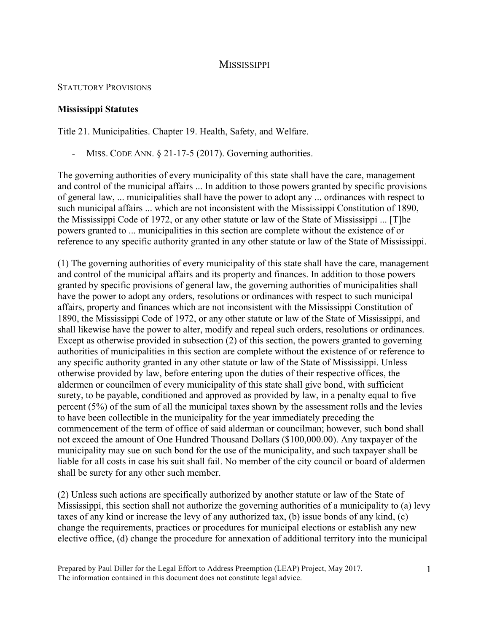## **MISSISSIPPI**

## STATUTORY PROVISIONS

## **Mississippi Statutes**

Title 21. Municipalities. Chapter 19. Health, Safety, and Welfare.

MISS. CODE ANN.  $\S 21-17-5$  (2017). Governing authorities.

The governing authorities of every municipality of this state shall have the care, management and control of the municipal affairs ... In addition to those powers granted by specific provisions of general law, ... municipalities shall have the power to adopt any ... ordinances with respect to such municipal affairs ... which are not inconsistent with the Mississippi Constitution of 1890, the Mississippi Code of 1972, or any other statute or law of the State of Mississippi ... [T]he powers granted to ... municipalities in this section are complete without the existence of or reference to any specific authority granted in any other statute or law of the State of Mississippi.

(1) The governing authorities of every municipality of this state shall have the care, management and control of the municipal affairs and its property and finances. In addition to those powers granted by specific provisions of general law, the governing authorities of municipalities shall have the power to adopt any orders, resolutions or ordinances with respect to such municipal affairs, property and finances which are not inconsistent with the Mississippi Constitution of 1890, the Mississippi Code of 1972, or any other statute or law of the State of Mississippi, and shall likewise have the power to alter, modify and repeal such orders, resolutions or ordinances. Except as otherwise provided in subsection (2) of this section, the powers granted to governing authorities of municipalities in this section are complete without the existence of or reference to any specific authority granted in any other statute or law of the State of Mississippi. Unless otherwise provided by law, before entering upon the duties of their respective offices, the aldermen or councilmen of every municipality of this state shall give bond, with sufficient surety, to be payable, conditioned and approved as provided by law, in a penalty equal to five percent (5%) of the sum of all the municipal taxes shown by the assessment rolls and the levies to have been collectible in the municipality for the year immediately preceding the commencement of the term of office of said alderman or councilman; however, such bond shall not exceed the amount of One Hundred Thousand Dollars (\$100,000.00). Any taxpayer of the municipality may sue on such bond for the use of the municipality, and such taxpayer shall be liable for all costs in case his suit shall fail. No member of the city council or board of aldermen shall be surety for any other such member.

(2) Unless such actions are specifically authorized by another statute or law of the State of Mississippi, this section shall not authorize the governing authorities of a municipality to (a) levy taxes of any kind or increase the levy of any authorized tax, (b) issue bonds of any kind, (c) change the requirements, practices or procedures for municipal elections or establish any new elective office, (d) change the procedure for annexation of additional territory into the municipal

Prepared by Paul Diller for the Legal Effort to Address Preemption (LEAP) Project, May 2017. The information contained in this document does not constitute legal advice.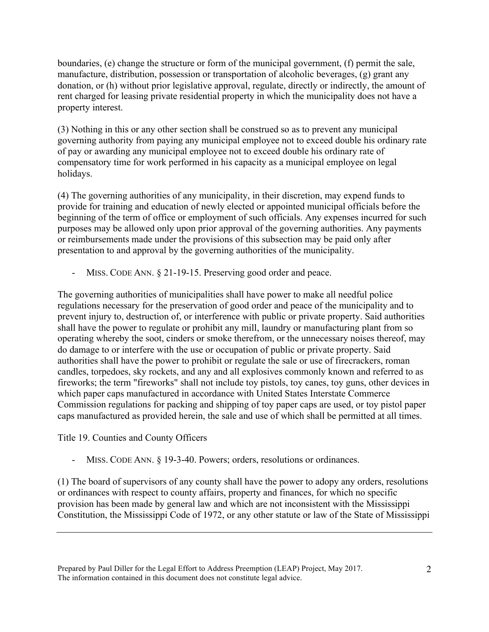boundaries, (e) change the structure or form of the municipal government, (f) permit the sale, manufacture, distribution, possession or transportation of alcoholic beverages, (g) grant any donation, or (h) without prior legislative approval, regulate, directly or indirectly, the amount of rent charged for leasing private residential property in which the municipality does not have a property interest.

(3) Nothing in this or any other section shall be construed so as to prevent any municipal governing authority from paying any municipal employee not to exceed double his ordinary rate of pay or awarding any municipal employee not to exceed double his ordinary rate of compensatory time for work performed in his capacity as a municipal employee on legal holidays.

(4) The governing authorities of any municipality, in their discretion, may expend funds to provide for training and education of newly elected or appointed municipal officials before the beginning of the term of office or employment of such officials. Any expenses incurred for such purposes may be allowed only upon prior approval of the governing authorities. Any payments or reimbursements made under the provisions of this subsection may be paid only after presentation to and approval by the governing authorities of the municipality.

MISS. CODE ANN. § 21-19-15. Preserving good order and peace.

The governing authorities of municipalities shall have power to make all needful police regulations necessary for the preservation of good order and peace of the municipality and to prevent injury to, destruction of, or interference with public or private property. Said authorities shall have the power to regulate or prohibit any mill, laundry or manufacturing plant from so operating whereby the soot, cinders or smoke therefrom, or the unnecessary noises thereof, may do damage to or interfere with the use or occupation of public or private property. Said authorities shall have the power to prohibit or regulate the sale or use of firecrackers, roman candles, torpedoes, sky rockets, and any and all explosives commonly known and referred to as fireworks; the term "fireworks" shall not include toy pistols, toy canes, toy guns, other devices in which paper caps manufactured in accordance with United States Interstate Commerce Commission regulations for packing and shipping of toy paper caps are used, or toy pistol paper caps manufactured as provided herein, the sale and use of which shall be permitted at all times.

Title 19. Counties and County Officers

MISS. CODE ANN. § 19-3-40. Powers; orders, resolutions or ordinances.

(1) The board of supervisors of any county shall have the power to adopy any orders, resolutions or ordinances with respect to county affairs, property and finances, for which no specific provision has been made by general law and which are not inconsistent with the Mississippi Constitution, the Mississippi Code of 1972, or any other statute or law of the State of Mississippi